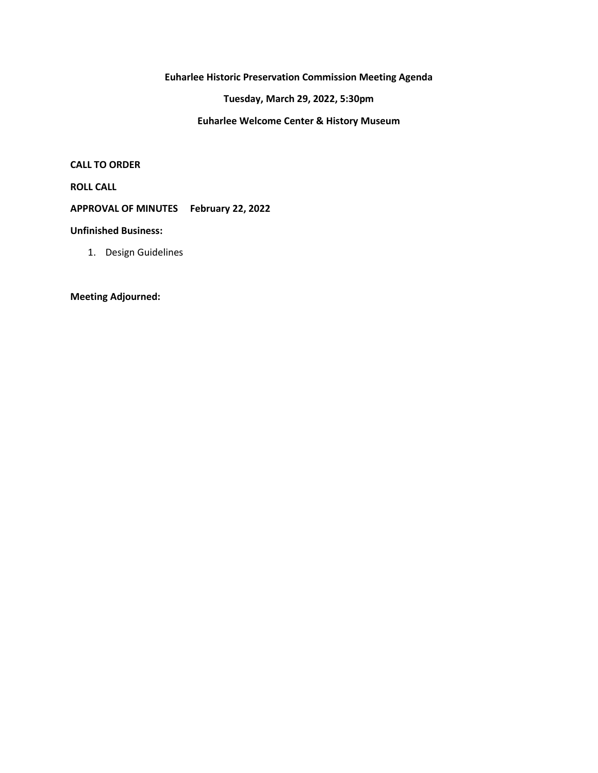**Euharlee Historic Preservation Commission Meeting Agenda**

**Tuesday, March 29, 2022, 5:30pm**

**Euharlee Welcome Center & History Museum**

**CALL TO ORDER**

**ROLL CALL**

**APPROVAL OF MINUTES February 22, 2022**

**Unfinished Business:**

1. Design Guidelines

**Meeting Adjourned:**